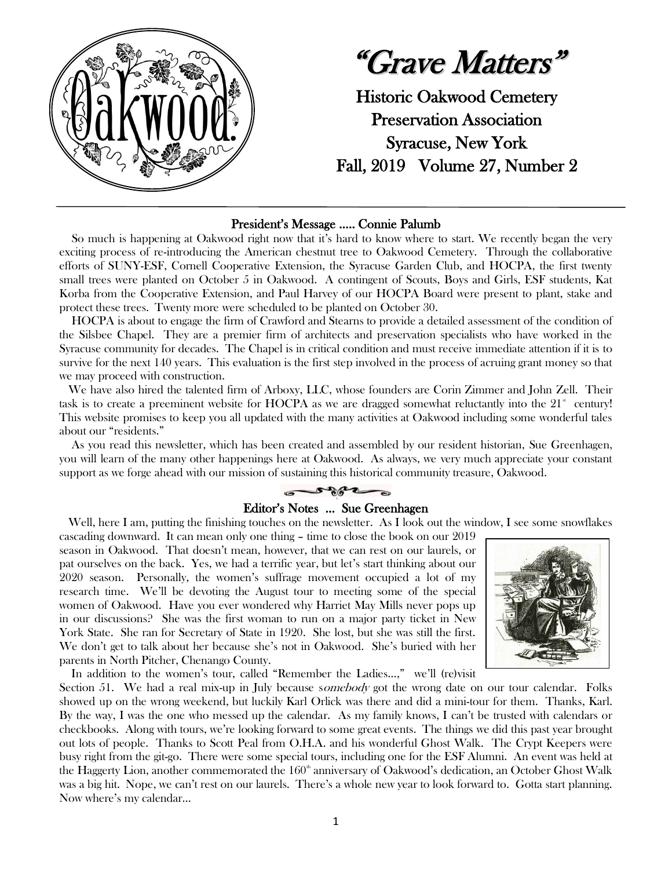

"Grave Matters" Historic Oakwood Cemetery Preservation Association Syracuse, New York Fall, 2019 Volume 27, Number 2

## President's Message ….. Connie Palumb

 So much is happening at Oakwood right now that it's hard to know where to start. We recently began the very exciting process of re-introducing the American chestnut tree to Oakwood Cemetery. Through the collaborative efforts of SUNY-ESF, Cornell Cooperative Extension, the Syracuse Garden Club, and HOCPA, the first twenty small trees were planted on October 5 in Oakwood. A contingent of Scouts, Boys and Girls, ESF students, Kat Korba from the Cooperative Extension, and Paul Harvey of our HOCPA Board were present to plant, stake and protect these trees. Twenty more were scheduled to be planted on October 30.

 HOCPA is about to engage the firm of Crawford and Stearns to provide a detailed assessment of the condition of the Silsbee Chapel. They are a premier firm of architects and preservation specialists who have worked in the Syracuse community for decades. The Chapel is in critical condition and must receive immediate attention if it is to survive for the next 140 years. This evaluation is the first step involved in the process of acruing grant money so that we may proceed with construction.

 We have also hired the talented firm of Arboxy, LLC, whose founders are Corin Zimmer and John Zell. Their task is to create a preeminent website for HOCPA as we are dragged somewhat reluctantly into the  $21<sup>s</sup>$  century! This website promises to keep you all updated with the many activities at Oakwood including some wonderful tales about our "residents."

 As you read this newsletter, which has been created and assembled by our resident historian, Sue Greenhagen, you will learn of the many other happenings here at Oakwood. As always, we very much appreciate your constant support as we forge ahead with our mission of sustaining this historical community treasure, Oakwood.



# Editor's Notes … Sue Greenhagen

Well, here I am, putting the finishing touches on the newsletter. As I look out the window, I see some snowflakes

cascading downward. It can mean only one thing – time to close the book on our 2019 season in Oakwood. That doesn't mean, however, that we can rest on our laurels, or pat ourselves on the back. Yes, we had a terrific year, but let's start thinking about our 2020 season. Personally, the women's suffrage movement occupied a lot of my research time. We'll be devoting the August tour to meeting some of the special women of Oakwood. Have you ever wondered why Harriet May Mills never pops up in our discussions? She was the first woman to run on a major party ticket in New York State. She ran for Secretary of State in 1920. She lost, but she was still the first. We don't get to talk about her because she's not in Oakwood. She's buried with her parents in North Pitcher, Chenango County.



In addition to the women's tour, called "Remember the Ladies…," we'll (re)visit

Section 51. We had a real mix-up in July because somebody got the wrong date on our tour calendar. Folks showed up on the wrong weekend, but luckily Karl Orlick was there and did a mini-tour for them. Thanks, Karl. By the way, I was the one who messed up the calendar. As my family knows, I can't be trusted with calendars or checkbooks. Along with tours, we're looking forward to some great events. The things we did this past year brought out lots of people. Thanks to Scott Peal from O.H.A. and his wonderful Ghost Walk. The Crypt Keepers were busy right from the git-go. There were some special tours, including one for the ESF Alumni. An event was held at the Haggerty Lion, another commemorated the  $160^{\circ}$  anniversary of Oakwood's dedication, an October Ghost Walk was a big hit. Nope, we can't rest on our laurels. There's a whole new year to look forward to. Gotta start planning. Now where's my calendar…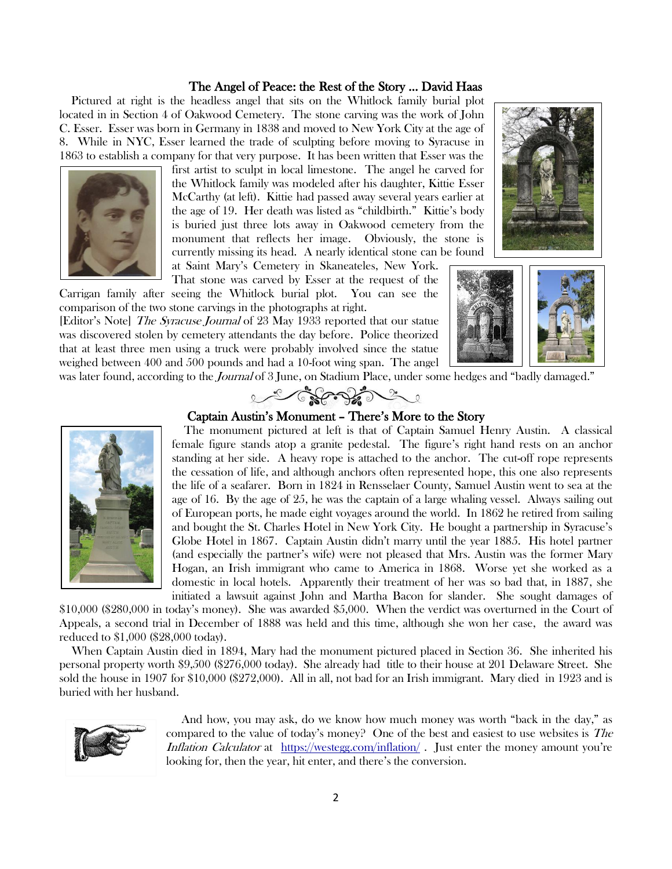#### The Angel of Peace: the Rest of the Story … David Haas

 Pictured at right is the headless angel that sits on the Whitlock family burial plot located in in Section 4 of Oakwood Cemetery. The stone carving was the work of John C. Esser. Esser was born in Germany in 1838 and moved to New York City at the age of 8. While in NYC, Esser learned the trade of sculpting before moving to Syracuse in 1863 to establish a company for that very purpose. It has been written that Esser was the



That stone was carved by Esser at the request of the Carrigan family after seeing the Whitlock burial plot. You can see the comparison of the two stone carvings in the photographs at right.

[Editor's Note] The Syracuse Journal of 23 May 1933 reported that our statue was discovered stolen by cemetery attendants the day before. Police theorized that at least three men using a truck were probably involved since the statue weighed between 400 and 500 pounds and had a 10-foot wing span. The angel





was later found, according to the *Journal* of 3 June, on Stadium Place, under some hedges and "badly damaged."<br>Constant of the some hedges and "badly damaged."



# Captain Austin's Monument – There's More to the Story

 The monument pictured at left is that of Captain Samuel Henry Austin. A classical female figure stands atop a granite pedestal. The figure's right hand rests on an anchor standing at her side. A heavy rope is attached to the anchor. The cut-off rope represents the cessation of life, and although anchors often represented hope, this one also represents the life of a seafarer. Born in 1824 in Rensselaer County, Samuel Austin went to sea at the age of 16. By the age of 25, he was the captain of a large whaling vessel. Always sailing out of European ports, he made eight voyages around the world. In 1862 he retired from sailing and bought the St. Charles Hotel in New York City. He bought a partnership in Syracuse's Globe Hotel in 1867. Captain Austin didn't marry until the year 1885. His hotel partner (and especially the partner's wife) were not pleased that Mrs. Austin was the former Mary Hogan, an Irish immigrant who came to America in 1868. Worse yet she worked as a domestic in local hotels. Apparently their treatment of her was so bad that, in 1887, she initiated a lawsuit against John and Martha Bacon for slander. She sought damages of

\$10,000 (\$280,000 in today's money). She was awarded \$5,000. When the verdict was overturned in the Court of Appeals, a second trial in December of 1888 was held and this time, although she won her case, the award was reduced to \$1,000 (\$28,000 today).

 When Captain Austin died in 1894, Mary had the monument pictured placed in Section 36. She inherited his personal property worth \$9,500 (\$276,000 today). She already had title to their house at 201 Delaware Street. She sold the house in 1907 for \$10,000 (\$272,000). All in all, not bad for an Irish immigrant. Mary died in 1923 and is buried with her husband.



 And how, you may ask, do we know how much money was worth "back in the day," as compared to the value of today's money? One of the best and easiest to use websites is The Inflation Calculator at <https://westegg.com/inflation/>. Just enter the money amount you're looking for, then the year, hit enter, and there's the conversion.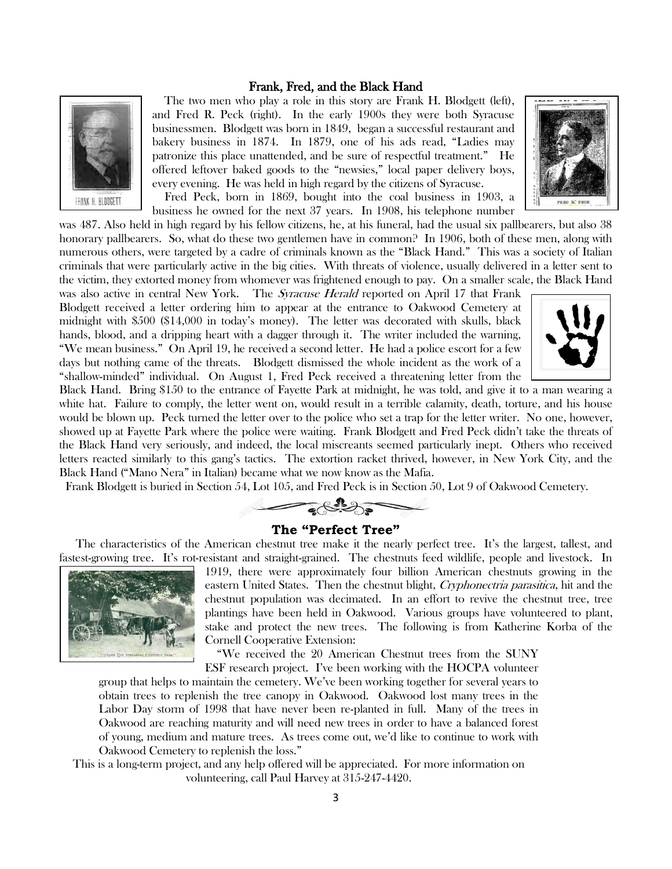#### Frank, Fred, and the Black Hand



 The two men who play a role in this story are Frank H. Blodgett (left), and Fred R. Peck (right). In the early 1900s they were both Syracuse businessmen. Blodgett was born in 1849, began a successful restaurant and bakery business in 1874. In 1879, one of his ads read, "Ladies may patronize this place unattended, and be sure of respectful treatment." He offered leftover baked goods to the "newsies," local paper delivery boys, every evening. He was held in high regard by the citizens of Syracuse.

 Fred Peck, born in 1869, bought into the coal business in 1903, a business he owned for the next 37 years. In 1908, his telephone number

was 487. Also held in high regard by his fellow citizens, he, at his funeral, had the usual six pallbearers, but also 38 honorary pallbearers. So, what do these two gentlemen have in common? In 1906, both of these men, along with numerous others, were targeted by a cadre of criminals known as the "Black Hand." This was a society of Italian criminals that were particularly active in the big cities. With threats of violence, usually delivered in a letter sent to the victim, they extorted money from whomever was frightened enough to pay. On a smaller scale, the Black Hand

was also active in central New York. The *Syracuse Herald* reported on April 17 that Frank Blodgett received a letter ordering him to appear at the entrance to Oakwood Cemetery at midnight with \$500 (\$14,000 in today's money). The letter was decorated with skulls, black hands, blood, and a dripping heart with a dagger through it. The writer included the warning, "We mean business." On April 19, he received a second letter. He had a police escort for a few days but nothing came of the threats. Blodgett dismissed the whole incident as the work of a "shallow-minded" individual. On August 1, Fred Peck received a threatening letter from the



FRED R. PECK

Black Hand. Bring \$150 to the entrance of Fayette Park at midnight, he was told, and give it to a man wearing a white hat. Failure to comply, the letter went on, would result in a terrible calamity, death, torture, and his house would be blown up. Peck turned the letter over to the police who set a trap for the letter writer. No one, however, showed up at Fayette Park where the police were waiting. Frank Blodgett and Fred Peck didn't take the threats of the Black Hand very seriously, and indeed, the local miscreants seemed particularly inept. Others who received letters reacted similarly to this gang's tactics. The extortion racket thrived, however, in New York City, and the Black Hand ("Mano Nera" in Italian) became what we now know as the Mafia.

Frank Blodgett is buried in Section 54, Lot 105, and Fred Peck is in Section 50, Lot 9 of Oakwood Cemetery.



#### **The "Perfect Tree"**

The characteristics of the American chestnut tree make it the nearly perfect tree. It's the largest, tallest, and fastest-growing tree. It's rot-resistant and straight-grained. The chestnuts feed wildlife, people and livestock. In



1919, there were approximately four billion American chestnuts growing in the eastern United States. Then the chestnut blight, Cryphonectria parasitica, hit and the chestnut population was decimated. In an effort to revive the chestnut tree, tree plantings have been held in Oakwood. Various groups have volunteered to plant, stake and protect the new trees. The following is from Katherine Korba of the Cornell Cooperative Extension:

 "We received the 20 American Chestnut trees from the SUNY ESF research project. I've been working with the HOCPA volunteer

group that helps to maintain the cemetery. We've been working together for several years to obtain trees to replenish the tree canopy in Oakwood. Oakwood lost many trees in the Labor Day storm of 1998 that have never been re-planted in full. Many of the trees in Oakwood are reaching maturity and will need new trees in order to have a balanced forest of young, medium and mature trees. As trees come out, we'd like to continue to work with Oakwood Cemetery to replenish the loss."

This is a long-term project, and any help offered will be appreciated. For more information on volunteering, call Paul Harvey at 315-247-4420.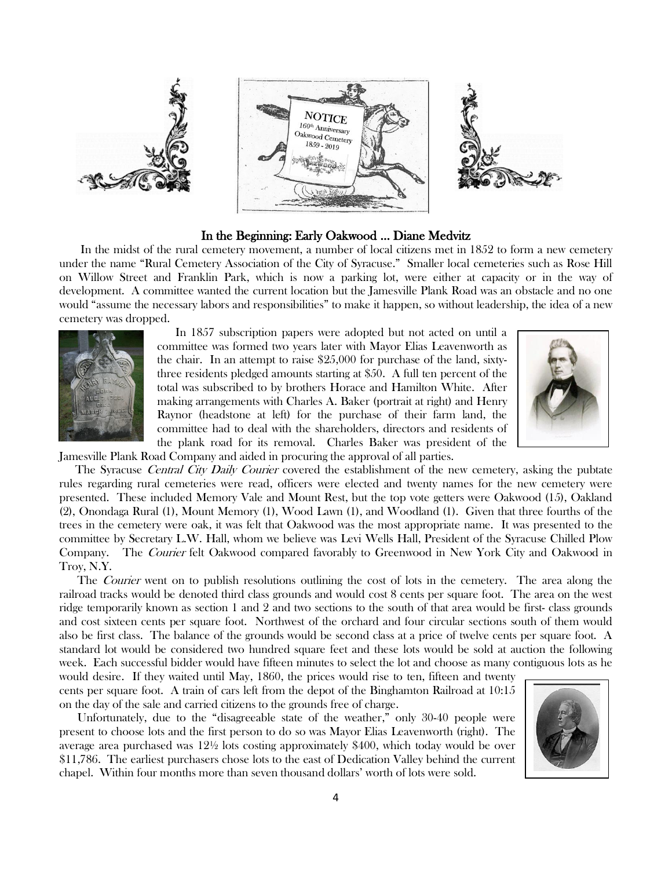

### In the Beginning: Early Oakwood … Diane Medvitz

 In the midst of the rural cemetery movement, a number of local citizens met in 1852 to form a new cemetery under the name "Rural Cemetery Association of the City of Syracuse." Smaller local cemeteries such as Rose Hill on Willow Street and Franklin Park, which is now a parking lot, were either at capacity or in the way of development. A committee wanted the current location but the Jamesville Plank Road was an obstacle and no one would "assume the necessary labors and responsibilities" to make it happen, so without leadership, the idea of a new cemetery was dropped.



 In 1857 subscription papers were adopted but not acted on until a committee was formed two years later with Mayor Elias Leavenworth as the chair. In an attempt to raise \$25,000 for purchase of the land, sixtythree residents pledged amounts starting at \$50. A full ten percent of the total was subscribed to by brothers Horace and Hamilton White. After making arrangements with Charles A. Baker (portrait at right) and Henry Raynor (headstone at left) for the purchase of their farm land, the committee had to deal with the shareholders, directors and residents of the plank road for its removal. Charles Baker was president of the



Jamesville Plank Road Company and aided in procuring the approval of all parties.

The Syracuse Central City Daily Courier covered the establishment of the new cemetery, asking the pubtate rules regarding rural cemeteries were read, officers were elected and twenty names for the new cemetery were presented. These included Memory Vale and Mount Rest, but the top vote getters were Oakwood (15), Oakland (2), Onondaga Rural (1), Mount Memory (1), Wood Lawn (1), and Woodland (1). Given that three fourths of the trees in the cemetery were oak, it was felt that Oakwood was the most appropriate name. It was presented to the committee by Secretary L.W. Hall, whom we believe was Levi Wells Hall, President of the Syracuse Chilled Plow Company. The Courier felt Oakwood compared favorably to Greenwood in New York City and Oakwood in Troy, N.Y.

The *Courier* went on to publish resolutions outlining the cost of lots in the cemetery. The area along the railroad tracks would be denoted third class grounds and would cost 8 cents per square foot. The area on the west ridge temporarily known as section 1 and 2 and two sections to the south of that area would be first- class grounds and cost sixteen cents per square foot. Northwest of the orchard and four circular sections south of them would also be first class. The balance of the grounds would be second class at a price of twelve cents per square foot. A standard lot would be considered two hundred square feet and these lots would be sold at auction the following week. Each successful bidder would have fifteen minutes to select the lot and choose as many contiguous lots as he

would desire. If they waited until May, 1860, the prices would rise to ten, fifteen and twenty cents per square foot. A train of cars left from the depot of the Binghamton Railroad at 10:15 on the day of the sale and carried citizens to the grounds free of charge.

 Unfortunately, due to the "disagreeable state of the weather," only 30-40 people were present to choose lots and the first person to do so was Mayor Elias Leavenworth (right). The average area purchased was 12½ lots costing approximately \$400, which today would be over \$11,786. The earliest purchasers chose lots to the east of Dedication Valley behind the current chapel. Within four months more than seven thousand dollars' worth of lots were sold.

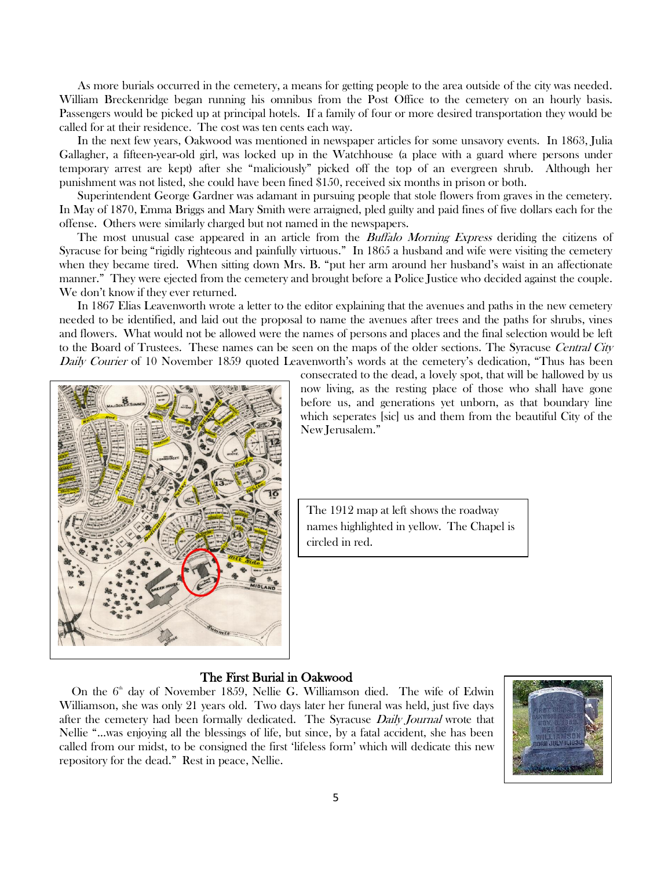As more burials occurred in the cemetery, a means for getting people to the area outside of the city was needed. William Breckenridge began running his omnibus from the Post Office to the cemetery on an hourly basis. Passengers would be picked up at principal hotels. If a family of four or more desired transportation they would be called for at their residence. The cost was ten cents each way.

 In the next few years, Oakwood was mentioned in newspaper articles for some unsavory events. In 1863, Julia Gallagher, a fifteen-year-old girl, was locked up in the Watchhouse (a place with a guard where persons under temporary arrest are kept) after she "maliciously" picked off the top of an evergreen shrub. Although her punishment was not listed, she could have been fined \$150, received six months in prison or both.

 Superintendent George Gardner was adamant in pursuing people that stole flowers from graves in the cemetery. In May of 1870, Emma Briggs and Mary Smith were arraigned, pled guilty and paid fines of five dollars each for the offense. Others were similarly charged but not named in the newspapers.

The most unusual case appeared in an article from the *Buffalo Morning Express* deriding the citizens of Syracuse for being "rigidly righteous and painfully virtuous." In 1865 a husband and wife were visiting the cemetery when they became tired. When sitting down Mrs. B. "put her arm around her husband's waist in an affectionate manner." They were ejected from the cemetery and brought before a Police Justice who decided against the couple. We don't know if they ever returned.

 In 1867 Elias Leavenworth wrote a letter to the editor explaining that the avenues and paths in the new cemetery needed to be identified, and laid out the proposal to name the avenues after trees and the paths for shrubs, vines and flowers. What would not be allowed were the names of persons and places and the final selection would be left to the Board of Trustees. These names can be seen on the maps of the older sections. The Syracuse Central City Daily Courier of 10 November 1859 quoted Leavenworth's words at the cemetery's dedication, "Thus has been



consecrated to the dead, a lovely spot, that will be hallowed by us now living, as the resting place of those who shall have gone before us, and generations yet unborn, as that boundary line which seperates [sic] us and them from the beautiful City of the New Jerusalem."

The 1912 map at left shows the roadway names highlighted in yellow. The Chapel is circled in red.

#### The First Burial in Oakwood

On the  $6<sup>th</sup>$  day of November 1859, Nellie G. Williamson died. The wife of Edwin Williamson, she was only 21 years old. Two days later her funeral was held, just five days after the cemetery had been formally dedicated. The Syracuse *Daily Journal* wrote that Nellie "…was enjoying all the blessings of life, but since, by a fatal accident, she has been called from our midst, to be consigned the first 'lifeless form' which will dedicate this new repository for the dead." Rest in peace, Nellie.

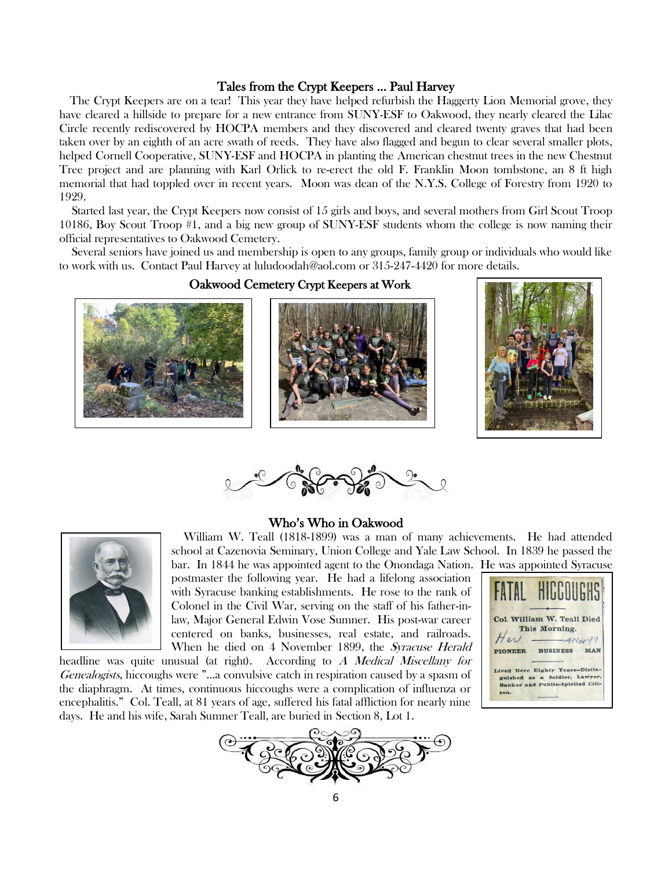## Tales from the Crypt Keepers … Paul Harvey

 The Crypt Keepers are on a tear! This year they have helped refurbish the Haggerty Lion Memorial grove, they have cleared a hillside to prepare for a new entrance from SUNY-ESF to Oakwood, they nearly cleared the Lilac Circle recently rediscovered by HOCPA members and they discovered and cleared twenty graves that had been taken over by an eighth of an acre swath of reeds. They have also flagged and begun to clear several smaller plots, helped Cornell Cooperative, SUNY-ESF and HOCPA in planting the American chestnut trees in the new Chestnut Tree project and are planning with Karl Orlick to re-erect the old F. Franklin Moon tombstone, an 8 ft high memorial that had toppled over in recent years. Moon was dean of the N.Y.S. College of Forestry from 1920 to 1929.

 Started last year, the Crypt Keepers now consist of 15 girls and boys, and several mothers from Girl Scout Troop 10186, Boy Scout Troop #1, and a big new group of SUNY-ESF students whom the college is now naming their official representatives to Oakwood Cemetery.

 Several seniors have joined us and membership is open to any groups, family group or individuals who would like to work with us. Contact Paul Harvey at luludoodah@aol.com or 315-247-4420 for more details.

## Oakwood Cemetery Crypt Keepers at Work







#### Who's Who in Oakwood



 William W. Teall (1818-1899) was a man of many achievements. He had attended school at Cazenovia Seminary, Union College and Yale Law School. In 1839 he passed the bar. In 1844 he was appointed agent to the Onondaga Nation. He was appointed Syracuse

postmaster the following year. He had a lifelong association with Syracuse banking establishments. He rose to the rank of Colonel in the Civil War, serving on the staff of his father-inlaw, Major General Edwin Vose Sumner. His post-war career centered on banks, businesses, real estate, and railroads. When he died on 4 November 1899, the Syracuse Herald

headline was quite unusual (at right). According to A Medical Miscellany for Genealogists, hiccoughs were "...a convulsive catch in respiration caused by a spasm of the diaphragm. At times, continuous hiccoughs were a complication of influenza or encephalitis." Col. Teall, at 81 years of age, suffered his fatal affliction for nearly nine days. He and his wife, Sarah Sumner Teall, are buried in Section 8, Lot 1.



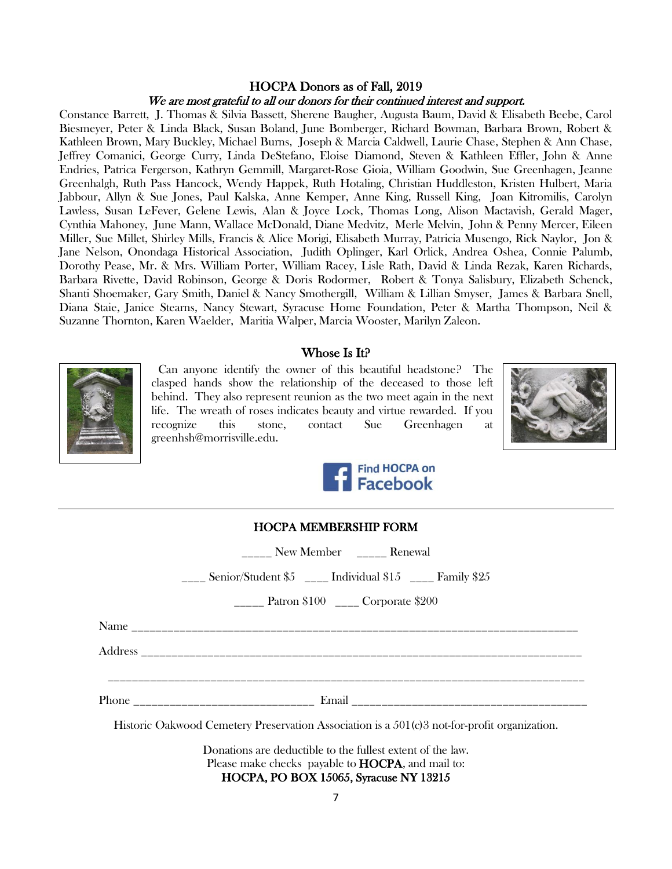## HOCPA Donors as of Fall, 2019 We are most grateful to all our donors for their continued interest and support.

Constance Barrett, J. Thomas & Silvia Bassett, Sherene Baugher, Augusta Baum, David & Elisabeth Beebe, Carol Biesmeyer, Peter & Linda Black, Susan Boland, June Bomberger, Richard Bowman, Barbara Brown, Robert & Kathleen Brown, Mary Buckley, Michael Burns, Joseph & Marcia Caldwell, Laurie Chase, Stephen & Ann Chase, Jeffrey Comanici, George Curry, Linda DeStefano, Eloise Diamond, Steven & Kathleen Effler, John & Anne Endries, Patrica Fergerson, Kathryn Gemmill, Margaret-Rose Gioia, William Goodwin, Sue Greenhagen, Jeanne Greenhalgh, Ruth Pass Hancock, Wendy Happek, Ruth Hotaling, Christian Huddleston, Kristen Hulbert, Maria Jabbour, Allyn & Sue Jones, Paul Kalska, Anne Kemper, Anne King, Russell King, Joan Kitromilis, Carolyn Lawless, Susan LeFever, Gelene Lewis, Alan & Joyce Lock, Thomas Long, Alison Mactavish, Gerald Mager, Cynthia Mahoney, June Mann, Wallace McDonald, Diane Medvitz, Merle Melvin, John & Penny Mercer, Eileen Miller, Sue Millet, Shirley Mills, Francis & Alice Morigi, Elisabeth Murray, Patricia Musengo, Rick Naylor, Jon & Jane Nelson, Onondaga Historical Association, Judith Oplinger, Karl Orlick, Andrea Oshea, Connie Palumb, Dorothy Pease, Mr. & Mrs. William Porter, William Racey, Lisle Rath, David & Linda Rezak, Karen Richards, Barbara Rivette, David Robinson, George & Doris Rodormer, Robert & Tonya Salisbury, Elizabeth Schenck, Shanti Shoemaker, Gary Smith, Daniel & Nancy Smothergill, William & Lillian Smyser, James & Barbara Snell, Diana Staie, Janice Stearns, Nancy Stewart, Syracuse Home Foundation, Peter & Martha Thompson, Neil & Suzanne Thornton, Karen Waelder, Maritia Walper, Marcia Wooster, Marilyn Zaleon.

# Whose Is It?



 Can anyone identify the owner of this beautiful headstone? The clasped hands show the relationship of the deceased to those left behind. They also represent reunion as the two meet again in the next life. The wreath of roses indicates beauty and virtue rewarded. If you recognize this stone, contact Sue Greenhagen at greenhsh@morrisville.edu.





| 1100111.MLMDLM01111_1.01WL |                 |            |                    |
|----------------------------|-----------------|------------|--------------------|
|                            | Renewal         | New Member |                    |
| Family \$25                | Individual \$15 |            | Senior/Student \$5 |

HOCPA MEMBERSHIP FORM

\_\_\_\_\_ Patron \$100 \_\_\_\_ Corporate \$200

Name \_\_\_\_\_\_\_\_\_\_\_\_\_\_\_\_\_\_\_\_\_\_\_\_\_\_\_\_\_\_\_\_\_\_\_\_\_\_\_\_\_\_\_\_\_\_\_\_\_\_\_\_\_\_\_\_\_\_\_\_\_\_\_\_\_\_\_\_\_\_\_\_\_\_

 $\rm Address$ 

\_\_\_\_\_\_\_\_\_\_\_\_\_\_\_\_\_\_\_\_\_\_\_\_\_\_\_\_\_\_\_\_\_\_\_\_\_\_\_\_\_\_\_\_\_\_\_\_\_\_\_\_\_\_\_\_\_\_\_\_\_\_\_\_\_\_\_\_\_\_\_\_\_\_\_\_\_\_\_

Phone **Email**  $\blacksquare$ 

Historic Oakwood Cemetery Preservation Association is a 501(c)3 not-for-profit organization.

Donations are deductible to the fullest extent of the law. Please make checks payable to **HOCPA**, and mail to: HOCPA, PO BOX 15065, Syracuse NY 13215